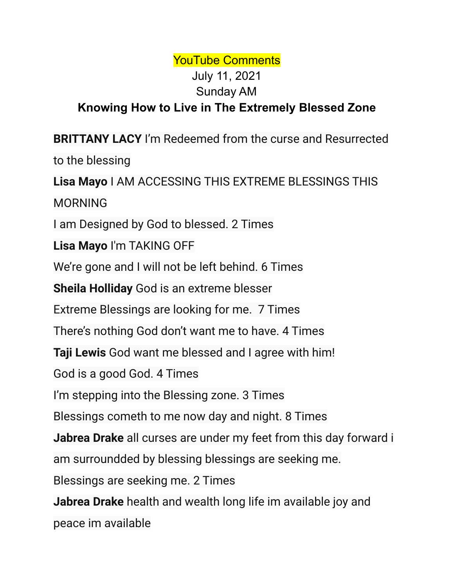## YouTube Comments July 11, 2021 Sunday AM **Knowing How to Live in The Extremely Blessed Zone**

**BRITTANY LACY** I'm Redeemed from the curse and Resurrected to the blessing **Lisa Mayo** I AM ACCESSING THIS EXTREME BLESSINGS THIS MORNING I am Designed by God to blessed. 2 Times **Lisa Mayo** I'm TAKING OFF We're gone and I will not be left behind. 6 Times **Sheila Holliday** God is an extreme blesser Extreme Blessings are looking for me. 7 Times There's nothing God don't want me to have. 4 Times **Taji Lewis** God want me blessed and I agree with him! God is a good God. 4 Times I'm stepping into the Blessing zone. 3 Times Blessings cometh to me now day and night. 8 Times **Jabrea Drake** all curses are under my feet from this day forward i am surroundded by blessing blessings are seeking me. Blessings are seeking me. 2 Times **Jabrea Drake** health and wealth long life im available joy and peace im available